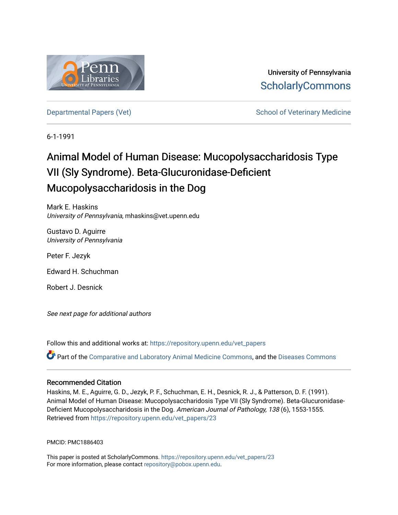

University of Pennsylvania **ScholarlyCommons** 

[Departmental Papers \(Vet\)](https://repository.upenn.edu/vet_papers) Network School of Veterinary Medicine

6-1-1991

## Animal Model of Human Disease: Mucopolysaccharidosis Type VII (Sly Syndrome). Beta-Glucuronidase-Deficient Mucopolysaccharidosis in the Dog

Mark E. Haskins University of Pennsylvania, mhaskins@vet.upenn.edu

Gustavo D. Aguirre University of Pennsylvania

Peter F. Jezyk

Edward H. Schuchman

Robert J. Desnick

See next page for additional authors

Follow this and additional works at: [https://repository.upenn.edu/vet\\_papers](https://repository.upenn.edu/vet_papers?utm_source=repository.upenn.edu%2Fvet_papers%2F23&utm_medium=PDF&utm_campaign=PDFCoverPages) 

Part of the [Comparative and Laboratory Animal Medicine Commons](http://network.bepress.com/hgg/discipline/768?utm_source=repository.upenn.edu%2Fvet_papers%2F23&utm_medium=PDF&utm_campaign=PDFCoverPages), and the [Diseases Commons](http://network.bepress.com/hgg/discipline/813?utm_source=repository.upenn.edu%2Fvet_papers%2F23&utm_medium=PDF&utm_campaign=PDFCoverPages)

### Recommended Citation

Haskins, M. E., Aguirre, G. D., Jezyk, P. F., Schuchman, E. H., Desnick, R. J., & Patterson, D. F. (1991). Animal Model of Human Disease: Mucopolysaccharidosis Type VII (Sly Syndrome). Beta-Glucuronidase-Deficient Mucopolysaccharidosis in the Dog. American Journal of Pathology, 138 (6), 1553-1555. Retrieved from [https://repository.upenn.edu/vet\\_papers/23](https://repository.upenn.edu/vet_papers/23?utm_source=repository.upenn.edu%2Fvet_papers%2F23&utm_medium=PDF&utm_campaign=PDFCoverPages)

PMCID: PMC1886403

This paper is posted at ScholarlyCommons. [https://repository.upenn.edu/vet\\_papers/23](https://repository.upenn.edu/vet_papers/23) For more information, please contact [repository@pobox.upenn.edu.](mailto:repository@pobox.upenn.edu)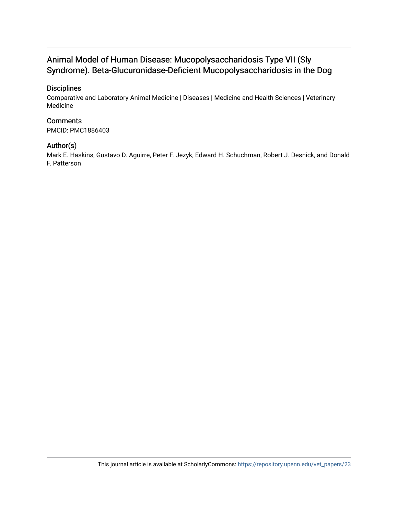### Animal Model of Human Disease: Mucopolysaccharidosis Type VII (Sly Syndrome). Beta-Glucuronidase-Deficient Mucopolysaccharidosis in the Dog

### **Disciplines**

Comparative and Laboratory Animal Medicine | Diseases | Medicine and Health Sciences | Veterinary Medicine

### **Comments**

PMCID: PMC1886403

### Author(s)

Mark E. Haskins, Gustavo D. Aguirre, Peter F. Jezyk, Edward H. Schuchman, Robert J. Desnick, and Donald F. Patterson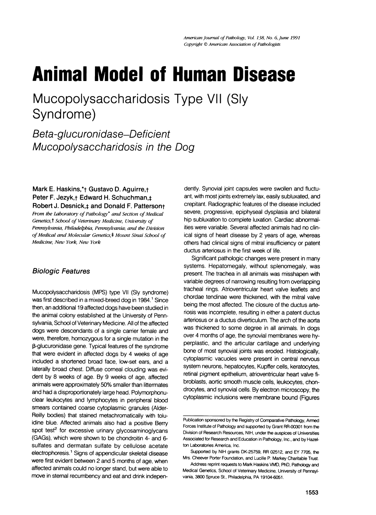# Animal Model of Human Disease

Mucopolysaccharidosis Type VII (Sly Syndrome)

Beta-glucuronidase-Deficient Mucopolysaccharidosis in the Dog

Mark E. Haskins,\*<sub>†</sub> Gustavo D. Aguirre,+ Peter F. Jezyk, + Edward H. Schuchman, ± Robert J. Desnick, and Donald F. Pattersont

From the Laboratory of Pathology<sup>\*</sup> and Section of Medical Genetics,t School of Veterinary Medicine, University of Pennsylvania, Philadelphia, Pennsylvania; and the Division of Medical and Molecular Genetics,<sup>‡</sup> Mount Sinai School of Medicine, New York, New York

### Biologic Features

Mucopolysaccharidosis (MPS) type VII (Sly syndrome) was first described in a mixed-breed dog in 1984.<sup>1</sup> Since then, an additional 19 affected dogs have been studied in the animal colony established at the University of Pennsylvania, School of Veterinary Medicine. All of the affected dogs were descendants of a single carrier female and were, therefore, homozygous for a single mutation in the ,B-glucuronidase gene. Typical features of the syndrome that were evident in affected dogs by 4 weeks of age included a shortened broad face, low-set ears, and a laterally broad chest. Diffuse corneal clouding was evident by 8 weeks of age. By 9 weeks of age, affected animals were approximately 50% smaller than littermates and had a disproportionately large head. Polymorphonuclear leukocytes and lymphocytes in peripheral blood smears contained coarse cytoplasmic granules (Alder-Reilly bodies) that stained metachromatically with toluidine blue. Affected animals also had a positive Berry spot test<sup>2</sup> for excessive urinary glycosaminoglycans (GAGs), which were shown to be chondroitin 4- and 6 sulfates and dermatan sulfate by cellulose acetate electrophoresis.1 Signs of appendicular skeletal disease were first evident between 2 and 5 months of age, when affected animals could no longer stand, but were able to move in sternal recumbency and eat and drink indepen-

dently. Synovial joint capsules were swollen and fluctuant, with most joints extremely lax, easily subluxated, and crepitant. Radiographic features of the disease included severe, progressive, epiphyseal dysplasia and bilateral hip subluxation to complete luxation. Cardiac abnormalities were variable. Several affected animals had no clinical signs of heart disease by 2 years of age, whereas others had clinical signs of mitral insufficiency or patent ductus arteriosus in the first week of life.

Significant pathologic changes were present in many systems. Hepatomegaly, without splenomegaly, was present. The trachea in all animals was misshapen with variable degrees of narrowing resulting from overlapping tracheal rings. Atrioventricular heart valve leaflets and chordae tendinae were thickened, with the mitral valve being the most affected. The closure of the ductus arteriosis was incomplete, resulting in either a patent ductus arteriosus or a ductus diverticulum. The arch of the aorta was thickened to some degree in all animals. In dogs over 4 months of age, the synovial membranes were hyperplastic, and the articular cartilage and underlying bone of most synovial joints was eroded. Histologically, cytoplasmic vacuoles were present in central nervous system neurons, hepatocytes, Kupffer cells, keratocytes, retinal pigment epithelium, atrioventricular heart valve fibroblasts, aortic smooth muscle cells, leukocytes, chondrocytes, and synovial cells. By electron microscopy, the cytoplasmic inclusions were membrane bound (Figures

Publication sponsored by the Registry of Comparative Pathology, Armed Forces Institute of Pathology and supported by Grant RR-00301 from the Division of Research Resources, NIH, under the auspices of Universities Associated for Research and Education in Pathology, Inc., and by Hazelton Laboratories America, Inc.

Supported by NIH grants DK-25759, RR 02512, and EY 7705, the Mrs. Cheever Porter Foundation, and Lucille P. Markey Charitable Trust.

Address reprint requests to Mark Haskins VMD, PhD, Pathology and Medical Genetics, School of Veterinary Medicine, University of Pennsylvania, 3800 Spruce St., Philadelphia, PA 19104-6051.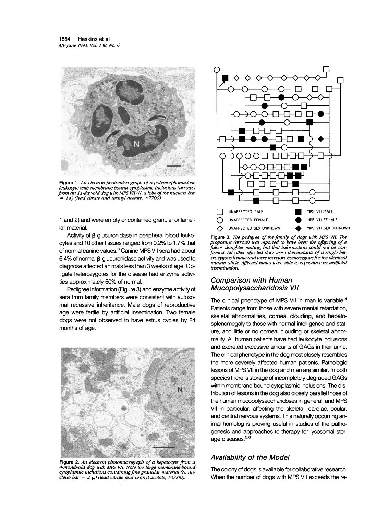

Figure 1. An electron photomicrograph of a polymorphonuclear leukocyte with membrane-bound cytoplasmic inclusions (arrows) from an 11-day-old dog with MPS VII (N, a lobe of the nucleus; bar  $=1\mu$ ) (lead citrate and uranyl acetate,  $\times$ 7700).

<sup>1</sup> and 2) and were empty or contained granular or lamellar material.

Activity of B-glucuronidase in peripheral blood leukocytes and 10 other tissues ranged from 0.2% to 1.7% that of normal canine values.<sup>3</sup> Canine MPS VII sera had about 6.4% of normal  $\beta$ -glucuronidase activity and was used to diagnose affected animals less than 3 weeks of age. Obligate heterozygotes for the disease had enzyme activities approximately 50% of normal.

Pedigree information (Figure 3) and enzyme activity of sera from family members were consistent with autosomal recessive inheritance. Male dogs of reproductive age were fertile by artificial insemination. Two female dogs were not observed to have estrus cycles by 24 months of age.



Figure 2. An electron photomicrograph of a hepatocyte from a 4-month-old dog with MPS VII. Note the large membrane-bound cytoplasmic inclusions containing fine granular material (N, nucleus; bar = 2  $\mu$ ) (lead citrate and uranyl acetate, ×6000).



Figure 3. The pedigree of the family of dogs with MPS VII. 7he propositus (arrow) was reported to have been the offspring of a father-daughter mating, but that information could not be confirmed. All other affected dogs were descendants of a single heterozygous female and were therefore homozygous for the identical mutant allele. Affected males were able to reproduce by artificial insemination.

#### Comparison with Human Mucopolysaccharidosis VII

The clinical phenotype of MPS VII in man is variable.<sup>4</sup> Patients range from those with severe mental retardation, skeletal abnormalities, corneal clouding, and hepatosplenomegaly to those with normal intelligence and stature, and little or no corneal clouding or skeletal abnormality. All human patients have had leukocyte inclusions and excreted excessive amounts of GAGs in their urine. The clinical phenotype in the dog most closely resembles the more severely affected human patients. Pathologic lesions of MPS VIl in the dog and man are similar. In both species there is storage of incompletely degraded GAGs within membrane-bound cytoplasmic inclusions. The distribution of lesions in the dog also closely parallel those of the human mucopolysaccharidoses in general, and MPS VII in particular, affecting the skeletal, cardiac, ocular, and central nervous systems. This naturally occurring animal homolog is proving useful in studies of the pathogenesis and approaches to therapy for lysosomal storage diseases.<sup>5,6</sup>

### Availability of the Model

The colony of dogs is available for collaborative research. When the number of dogs with MPS VII exceeds the re-